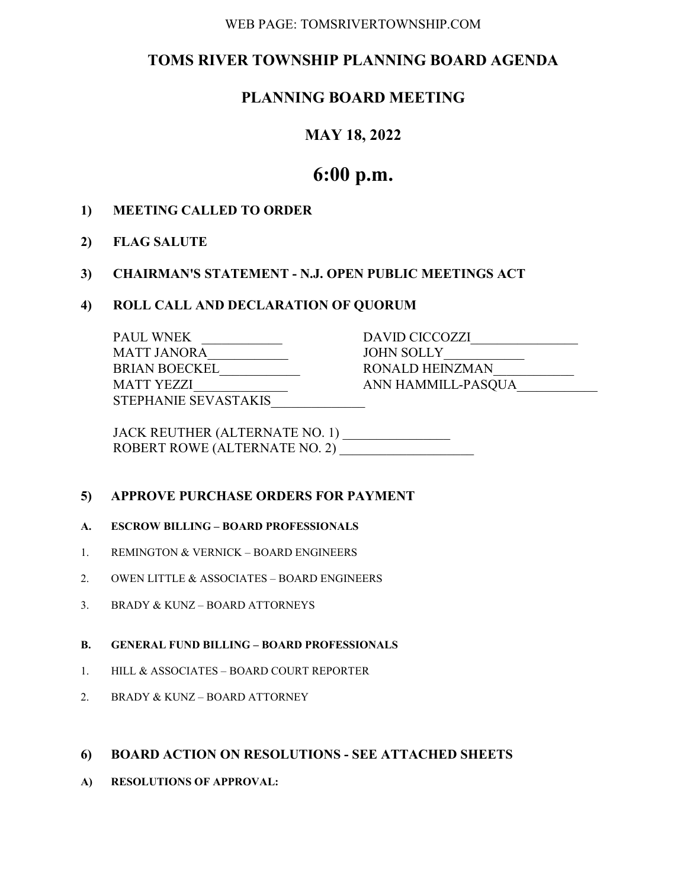#### WEB PAGE: TOMSRIVERTOWNSHIP.COM

# TOMS RIVER TOWNSHIP PLANNING BOARD AGENDA

# PLANNING BOARD MEETING

## MAY 18, 2022

# 6:00 p.m.

## 1) MEETING CALLED TO ORDER

2) FLAG SALUTE

## 3) CHAIRMAN'S STATEMENT - N.J. OPEN PUBLIC MEETINGS ACT

#### 4) ROLL CALL AND DECLARATION OF QUORUM

| <b>PAUL WNEK</b>     | DAVID CICCOZZI     |
|----------------------|--------------------|
| MATT JANORA          | JOHN SOLLY         |
| <b>BRIAN BOECKEL</b> | RONALD HEINZMAN    |
| MATT YEZZI           | ANN HAMMILL-PASOUA |
| STEPHANIE SEVASTAKIS |                    |

 JACK REUTHER (ALTERNATE NO. 1) \_\_\_\_\_\_\_\_\_\_\_\_\_\_\_\_ ROBERT ROWE (ALTERNATE NO. 2)

## 5) APPROVE PURCHASE ORDERS FOR PAYMENT

#### A. ESCROW BILLING – BOARD PROFESSIONALS

- 1. REMINGTON & VERNICK BOARD ENGINEERS
- 2. OWEN LITTLE & ASSOCIATES BOARD ENGINEERS
- 3. BRADY & KUNZ BOARD ATTORNEYS

#### B. GENERAL FUND BILLING – BOARD PROFESSIONALS

- 1. HILL & ASSOCIATES BOARD COURT REPORTER
- 2. BRADY & KUNZ BOARD ATTORNEY

#### 6) BOARD ACTION ON RESOLUTIONS - SEE ATTACHED SHEETS

A) RESOLUTIONS OF APPROVAL: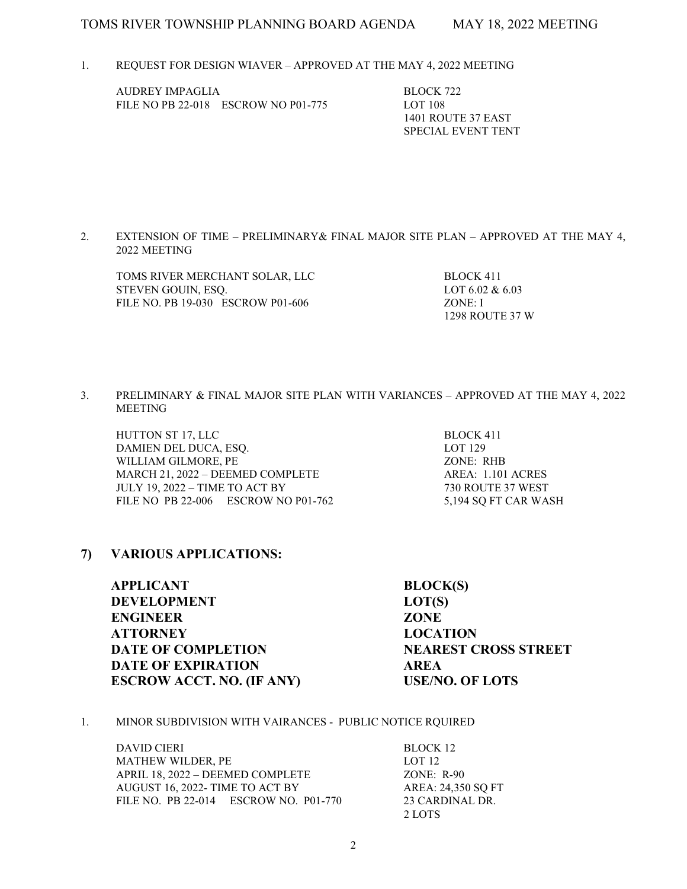1. REQUEST FOR DESIGN WIAVER – APPROVED AT THE MAY 4, 2022 MEETING

AUDREY IMPAGLIA BLOCK 722 FILE NO PB 22-018 ESCROW NO P01-775 LOT 108

 1401 ROUTE 37 EAST SPECIAL EVENT TENT

2. EXTENSION OF TIME – PRELIMINARY& FINAL MAJOR SITE PLAN – APPROVED AT THE MAY 4, 2022 MEETING

TOMS RIVER MERCHANT SOLAR, LLC BLOCK 411 STEVEN GOUIN, ESO. LOT 6.02 & 6.03 FILE NO. PB 19-030 ESCROW P01-606 ZONE: I

1298 ROUTE 37 W

3. PRELIMINARY & FINAL MAJOR SITE PLAN WITH VARIANCES – APPROVED AT THE MAY 4, 2022 MEETING

HUTTON ST 17, LLC BLOCK 411 DAMIEN DEL DUCA, ESQ. LOT 129 WILLIAM GILMORE, PE ZONE: RHB MARCH 21, 2022 – DEEMED COMPLETE AREA: 1.101 ACRES JULY 19, 2022 – TIME TO ACT BY 730 ROUTE 37 WEST FILE NO PB 22-006 ESCROW NO P01-762 5,194 SQ FT CAR WASH

7) VARIOUS APPLICATIONS:

APPLICANT BLOCK(S) DEVELOPMENT LOT(S) ENGINEER ZONE ATTORNEY LOCATION DATE OF COMPLETION NEAREST CROSS STREET DATE OF EXPIRATION AREA ESCROW ACCT. NO. (IF ANY) USE/NO. OF LOTS

1. MINOR SUBDIVISION WITH VAIRANCES - PUBLIC NOTICE RQUIRED

DAVID CIERI BLOCK 12 MATHEW WILDER, PE LOT 12 APRIL 18, 2022 – DEEMED COMPLETE ZONE: R-90 AUGUST 16, 2022- TIME TO ACT BY AREA: 24,350 SQ FT FILE NO. PB 22-014 ESCROW NO. P01-770 23 CARDINAL DR. 2 LOTS